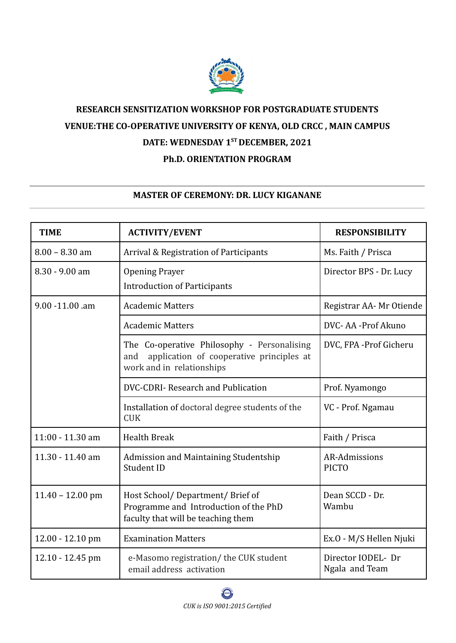

## **RESEARCH SENSITIZATION WORKSHOP FOR POSTGRADUATE STUDENTS VENUE:THE CO-OPERATIVE UNIVERSITY OF KENYA, OLD CRCC , MAIN CAMPUS DATE: WEDNESDAY 1STDECEMBER, 2021 Ph.D. ORIENTATION PROGRAM**

## **MASTER OF CEREMONY: DR. LUCY KIGANANE**

| <b>TIME</b>        | <b>ACTIVITY/EVENT</b>                                                                                                       | <b>RESPONSIBILITY</b>                |
|--------------------|-----------------------------------------------------------------------------------------------------------------------------|--------------------------------------|
| $8.00 - 8.30$ am   | Arrival & Registration of Participants                                                                                      | Ms. Faith / Prisca                   |
| 8.30 - 9.00 am     | <b>Opening Prayer</b><br><b>Introduction of Participants</b>                                                                | Director BPS - Dr. Lucy              |
| $9.00 - 11.00$ .am | <b>Academic Matters</b>                                                                                                     | Registrar AA-Mr Otiende              |
|                    | <b>Academic Matters</b>                                                                                                     | DVC-AA-Prof Akuno                    |
|                    | The Co-operative Philosophy - Personalising<br>application of cooperative principles at<br>and<br>work and in relationships | DVC, FPA -Prof Gicheru               |
|                    | DVC-CDRI- Research and Publication                                                                                          | Prof. Nyamongo                       |
|                    | Installation of doctoral degree students of the<br><b>CUK</b>                                                               | VC - Prof. Ngamau                    |
| 11:00 - 11.30 am   | <b>Health Break</b>                                                                                                         | Faith / Prisca                       |
| 11.30 - 11.40 am   | Admission and Maintaining Studentship<br>Student ID                                                                         | AR-Admissions<br><b>PICTO</b>        |
| $11.40 - 12.00$ pm | Host School/Department/Brief of<br>Programme and Introduction of the PhD<br>faculty that will be teaching them              | Dean SCCD - Dr.<br>Wambu             |
| 12.00 - 12.10 pm   | <b>Examination Matters</b>                                                                                                  | Ex.O - M/S Hellen Njuki              |
| 12.10 - 12.45 pm   | e-Masomo registration/ the CUK student<br>email address activation                                                          | Director IODEL- Dr<br>Ngala and Team |